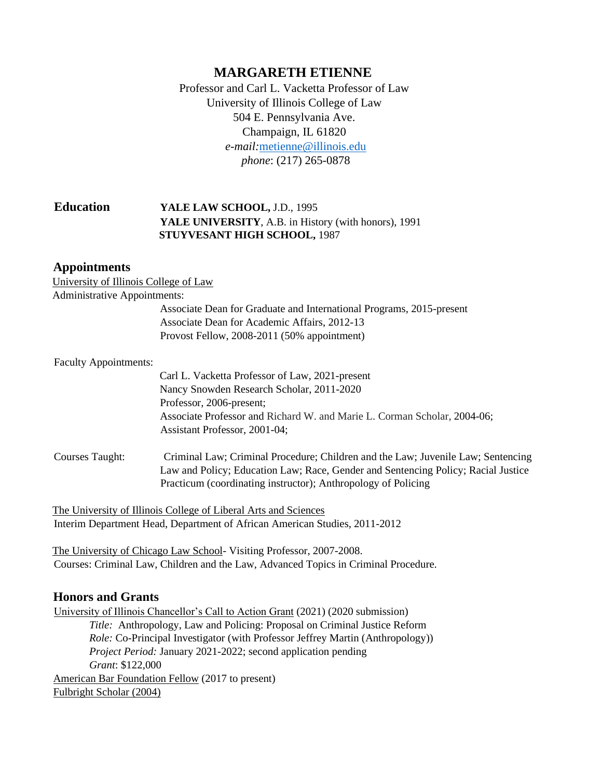# **MARGARETH ETIENNE**

Professor and Carl L. Vacketta Professor of Law University of Illinois College of Law 504 E. Pennsylvania Ave. Champaign, IL 61820 *e-mail:*[metienne@illinois.edu](mailto:metienne@illinois.edu) *phone*: (217) 265-0878

## **Education YALE LAW SCHOOL,** J.D., 1995 **YALE UNIVERSITY**, A.B. in History (with honors), 1991 **STUYVESANT HIGH SCHOOL,** 1987

#### **Appointments**

| University of Illinois College of Law |                                                                                                                                                                                                                                        |
|---------------------------------------|----------------------------------------------------------------------------------------------------------------------------------------------------------------------------------------------------------------------------------------|
| <b>Administrative Appointments:</b>   |                                                                                                                                                                                                                                        |
|                                       | Associate Dean for Graduate and International Programs, 2015-present                                                                                                                                                                   |
|                                       | Associate Dean for Academic Affairs, 2012-13                                                                                                                                                                                           |
|                                       | Provost Fellow, 2008-2011 (50% appointment)                                                                                                                                                                                            |
| <b>Faculty Appointments:</b>          |                                                                                                                                                                                                                                        |
|                                       | Carl L. Vacketta Professor of Law, 2021-present                                                                                                                                                                                        |
|                                       | Nancy Snowden Research Scholar, 2011-2020                                                                                                                                                                                              |
|                                       | Professor, 2006-present;                                                                                                                                                                                                               |
|                                       | Associate Professor and Richard W. and Marie L. Corman Scholar, 2004-06;                                                                                                                                                               |
|                                       | Assistant Professor, 2001-04;                                                                                                                                                                                                          |
| <b>Courses Taught:</b>                | Criminal Law; Criminal Procedure; Children and the Law; Juvenile Law; Sentencing<br>Law and Policy; Education Law; Race, Gender and Sentencing Policy; Racial Justice<br>Practicum (coordinating instructor); Anthropology of Policing |
|                                       |                                                                                                                                                                                                                                        |

The University of Illinois College of Liberal Arts and Sciences Interim Department Head, Department of African American Studies, 2011-2012

The University of Chicago Law School- Visiting Professor, 2007-2008. Courses: Criminal Law, Children and the Law, Advanced Topics in Criminal Procedure.

## **Honors and Grants**

University of Illinois Chancellor's Call to Action Grant (2021) (2020 submission) *Title:* Anthropology, Law and Policing: Proposal on Criminal Justice Reform *Role:* Co-Principal Investigator (with Professor Jeffrey Martin (Anthropology)) *Project Period:* January 2021-2022; second application pending *Grant*: \$122,000 American Bar Foundation Fellow (2017 to present) Fulbright Scholar (2004)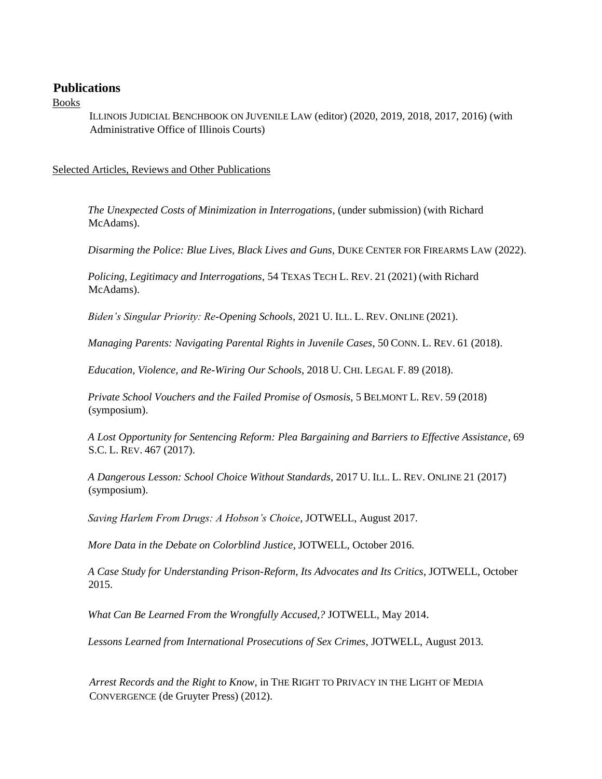## **Publications**

Books

ILLINOIS JUDICIAL BENCHBOOK ON JUVENILE LAW (editor) (2020, 2019, 2018, 2017, 2016) (with Administrative Office of Illinois Courts)

Selected Articles, Reviews and Other Publications

*The Unexpected Costs of Minimization in Interrogations*, (under submission) (with Richard McAdams).

*Disarming the Police: Blue Lives, Black Lives and Guns, DUKE CENTER FOR FIREARMS LAW (2022).* 

*Policing, Legitimacy and Interrogations,* 54 TEXAS TECH L. REV. 21 (2021) (with Richard McAdams).

*Biden's Singular Priority: Re-Opening Schools,* 2021 U. ILL. L. REV. ONLINE (2021).

*Managing Parents: Navigating Parental Rights in Juvenile Cases*, 50 CONN. L. REV. 61 (2018).

*Education, Violence, and Re-Wiring Our Schools*, 2018 U. CHI. LEGAL F. 89 (2018).

*Private School Vouchers and the Failed Promise of Osmosis*, 5 BELMONT L. REV. 59 (2018) (symposium).

*A Lost Opportunity for Sentencing Reform: Plea Bargaining and Barriers to Effective Assistance*, 69 S.C. L. REV. 467 (2017).

*A Dangerous Lesson: School Choice Without Standards*, 2017 U. ILL. L. REV. ONLINE 21 (2017) (symposium).

*Saving Harlem From Drugs: A Hobson's Choice*, JOTWELL, August 2017.

*More Data in the Debate on Colorblind Justice*, JOTWELL, October 2016.

*A Case Study for Understanding Prison-Reform, Its Advocates and Its Critics*, JOTWELL, October 2015.

*What Can Be Learned From the Wrongfully Accused,?* JOTWELL, May 2014.

*Lessons Learned from International Prosecutions of Sex Crimes,* JOTWELL, August 2013.

*Arrest Records and the Right to Know*, in THE RIGHT TO PRIVACY IN THE LIGHT OF MEDIA CONVERGENCE (de Gruyter Press) (2012).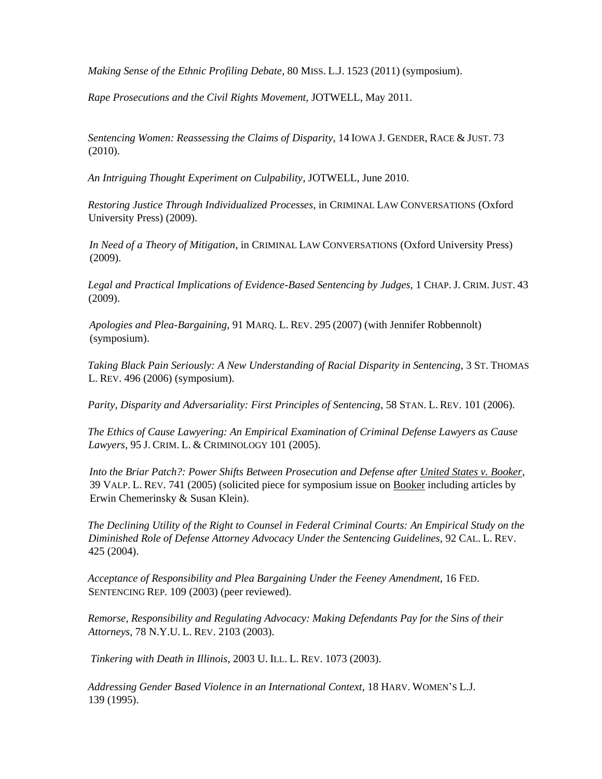*Making Sense of the Ethnic Profiling Debate,* 80 MISS. L.J. 1523 (2011) (symposium).

*Rape Prosecutions and the Civil Rights Movement,* JOTWELL, May 2011.

*Sentencing Women: Reassessing the Claims of Disparity*, 14 IOWA J. GENDER, RACE & JUST. 73 (2010).

*An Intriguing Thought Experiment on Culpability*, JOTWELL, June 2010.

*Restoring Justice Through Individualized Processes*, in CRIMINAL LAW CONVERSATIONS (Oxford University Press) (2009).

*In Need of a Theory of Mitigation*, in CRIMINAL LAW CONVERSATIONS (Oxford University Press) (2009).

*Legal and Practical Implications of Evidence-Based Sentencing by Judges,* 1 CHAP. J. CRIM. JUST. 43 (2009).

*Apologies and Plea-Bargaining,* 91 MARQ. L. REV. 295 (2007) (with Jennifer Robbennolt) (symposium).

*Taking Black Pain Seriously: A New Understanding of Racial Disparity in Sentencing,* 3 ST. THOMAS L. REV. 496 (2006) (symposium).

*Parity, Disparity and Adversariality: First Principles of Sentencing*, 58 STAN. L. REV. 101 (2006).

*The Ethics of Cause Lawyering: An Empirical Examination of Criminal Defense Lawyers as Cause Lawyers,* 95 J. CRIM. L. & CRIMINOLOGY 101 (2005).

*Into the Briar Patch?: Power Shifts Between Prosecution and Defense after United States v. Booker*, 39 VALP. L. REV. 741 (2005) (solicited piece for symposium issue on Booker including articles by Erwin Chemerinsky & Susan Klein).

*The Declining Utility of the Right to Counsel in Federal Criminal Courts: An Empirical Study on the Diminished Role of Defense Attorney Advocacy Under the Sentencing Guidelines,* 92 CAL. L. REV. 425 (2004).

*Acceptance of Responsibility and Plea Bargaining Under the Feeney Amendment,* 16 FED. SENTENCING REP*.* 109 (2003) (peer reviewed).

*Remorse, Responsibility and Regulating Advocacy: Making Defendants Pay for the Sins of their Attorneys*, 78 N.Y.U. L. REV. 2103 (2003).

*Tinkering with Death in Illinois*, 2003 U. ILL. L. REV. 1073 (2003).

*Addressing Gender Based Violence in an International Context*, 18 HARV. WOMEN'S L.J. 139 (1995).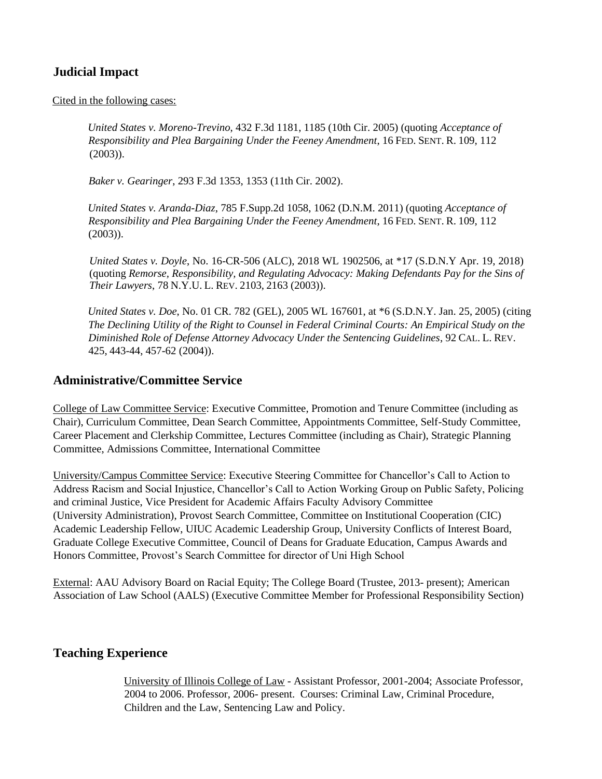# **Judicial Impact**

#### Cited in the following cases:

*United States v. Moreno-Trevino*, 432 F.3d 1181, 1185 (10th Cir. 2005) (quoting *Acceptance of Responsibility and Plea Bargaining Under the Feeney Amendment*, 16 FED. SENT. R. 109, 112 (2003)).

*Baker v. Gearinger*, 293 F.3d 1353, 1353 (11th Cir. 2002).

*United States v. Aranda-Diaz*, 785 F.Supp.2d 1058, 1062 (D.N.M. 2011) (quoting *Acceptance of Responsibility and Plea Bargaining Under the Feeney Amendment*, 16 FED. SENT. R. 109, 112  $(2003)$ ).

*United States v. Doyle*, No. 16-CR-506 (ALC), 2018 WL 1902506, at \*17 (S.D.N.Y Apr. 19, 2018) (quoting *Remorse, Responsibility, and Regulating Advocacy: Making Defendants Pay for the Sins of Their Lawyers*, 78 N.Y.U. L. REV. 2103, 2163 (2003)).

*United States v. Doe*, No. 01 CR. 782 (GEL), 2005 WL 167601, at \*6 (S.D.N.Y. Jan. 25, 2005) (citing *The Declining Utility of the Right to Counsel in Federal Criminal Courts: An Empirical Study on the Diminished Role of Defense Attorney Advocacy Under the Sentencing Guidelines*, 92 CAL. L. REV. 425, 443-44, 457-62 (2004)).

## **Administrative/Committee Service**

College of Law Committee Service: Executive Committee, Promotion and Tenure Committee (including as Chair), Curriculum Committee, Dean Search Committee, Appointments Committee, Self-Study Committee, Career Placement and Clerkship Committee, Lectures Committee (including as Chair), Strategic Planning Committee, Admissions Committee, International Committee

University/Campus Committee Service: Executive Steering Committee for Chancellor's Call to Action to Address Racism and Social Injustice, Chancellor's Call to Action Working Group on Public Safety, Policing and criminal Justice, Vice President for Academic Affairs Faculty Advisory Committee (University Administration), Provost Search Committee, Committee on Institutional Cooperation (CIC) Academic Leadership Fellow, UIUC Academic Leadership Group, University Conflicts of Interest Board, Graduate College Executive Committee, Council of Deans for Graduate Education, Campus Awards and Honors Committee, Provost's Search Committee for director of Uni High School

External: AAU Advisory Board on Racial Equity; The College Board (Trustee, 2013- present); American Association of Law School (AALS) (Executive Committee Member for Professional Responsibility Section)

## **Teaching Experience**

University of Illinois College of Law - Assistant Professor, 2001-2004; Associate Professor, 2004 to 2006. Professor, 2006- present. Courses: Criminal Law, Criminal Procedure, Children and the Law, Sentencing Law and Policy.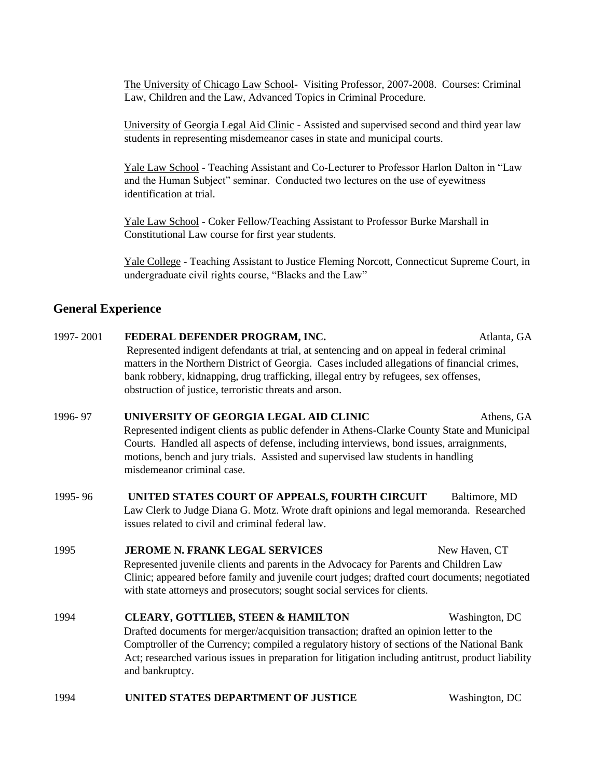The University of Chicago Law School- Visiting Professor, 2007-2008. Courses: Criminal Law, Children and the Law, Advanced Topics in Criminal Procedure.

University of Georgia Legal Aid Clinic - Assisted and supervised second and third year law students in representing misdemeanor cases in state and municipal courts.

Yale Law School - Teaching Assistant and Co-Lecturer to Professor Harlon Dalton in "Law and the Human Subject" seminar. Conducted two lectures on the use of eyewitness identification at trial.

Yale Law School - Coker Fellow/Teaching Assistant to Professor Burke Marshall in Constitutional Law course for first year students.

Yale College - Teaching Assistant to Justice Fleming Norcott, Connecticut Supreme Court, in undergraduate civil rights course, "Blacks and the Law"

## **General Experience**

- 1997- 2001 **FEDERAL DEFENDER PROGRAM, INC.** Atlanta, GA Represented indigent defendants at trial, at sentencing and on appeal in federal criminal matters in the Northern District of Georgia. Cases included allegations of financial crimes, bank robbery, kidnapping, drug trafficking, illegal entry by refugees, sex offenses, obstruction of justice, terroristic threats and arson.
- 1996- 97 **UNIVERSITY OF GEORGIA LEGAL AID CLINIC** Athens, GA Represented indigent clients as public defender in Athens-Clarke County State and Municipal Courts. Handled all aspects of defense, including interviews, bond issues, arraignments, motions, bench and jury trials. Assisted and supervised law students in handling misdemeanor criminal case.
- 1995- 96 **UNITED STATES COURT OF APPEALS, FOURTH CIRCUIT** Baltimore, MD Law Clerk to Judge Diana G. Motz. Wrote draft opinions and legal memoranda. Researched issues related to civil and criminal federal law.

### 1995 **JEROME N. FRANK LEGAL SERVICES** New Haven, CT Represented juvenile clients and parents in the Advocacy for Parents and Children Law Clinic; appeared before family and juvenile court judges; drafted court documents; negotiated with state attorneys and prosecutors; sought social services for clients.

- 1994 **CLEARY, GOTTLIEB, STEEN & HAMILTON** Washington, DC Drafted documents for merger/acquisition transaction; drafted an opinion letter to the Comptroller of the Currency; compiled a regulatory history of sections of the National Bank Act; researched various issues in preparation for litigation including antitrust, product liability and bankruptcy.
- 1994 **UNITED STATES DEPARTMENT OF JUSTICE** Washington, DC